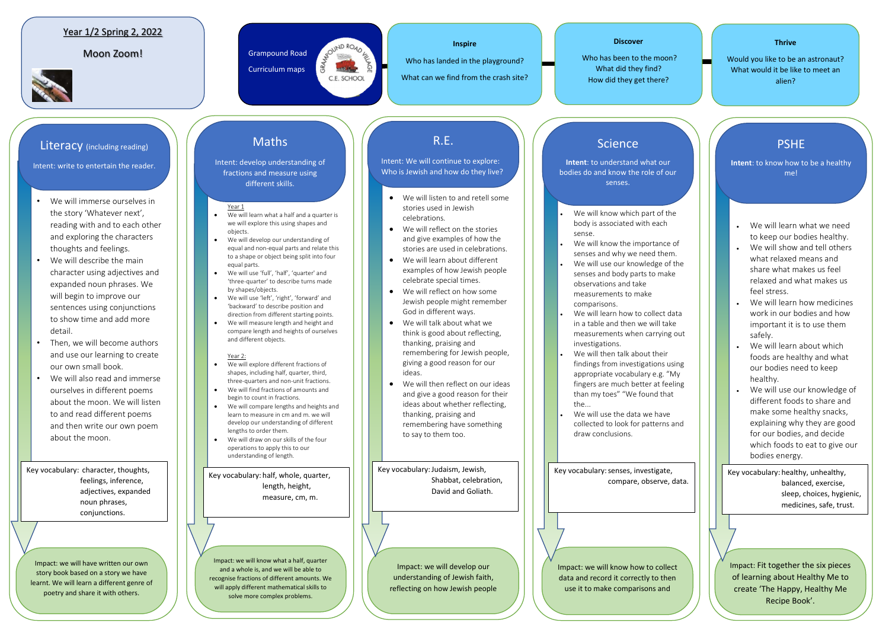- We will immerse ourselves in the story 'Whatever next', reading with and to each other and exploring the characters thoughts and feelings.
- We will describe the main character using adjectives and expanded noun phrases. We will begin to improve our sentences using conjunctions to show time and add more detail.
- Then, we will become authors and use our learning to create our own small book.
- We will also read and immerse ourselves in different poems about the moon. We will listen to and read different poems and then write our own poem about the moon.

### Year 1/2 Spring 2, 2022

#### Moon Zoom! Sampound Road



Curriculum maps

RAYOUND ROAD AFT

C.E. SCHOOL

#### **Discover**

Who has been to the moon? What did they find? How did they get there?

# **Thrive**  Would you like to be an astronaut? What would it be like to meet an alien?

**Inspire** 

Who has landed in the playground?

What can we find from the crash site?

#### Year 1

- We will learn what a half and a quarter is we will explore this using shapes and objects.
- We will develop our understanding of equal and non-equal parts and relate this to a shape or object being split into four equal parts.
- We will use 'full', 'half', 'quarter' and 'three-quarter' to describe turns made by shapes/objects.
- We will use 'left', 'right', 'forward' and 'backward' to describe position and direction from different starting points.
- We will measure length and height and
- compare length and heights of ourselves and different objects.

#### Year 2:

- We will know which part of the body is associated with each sense.
- We will know the importance of senses and why we need them.
- We will use our knowledge of the senses and body parts to make observations and take measurements to make comparisons.
- We will learn how to collect data in a table and then we will take measurements when carrying out investigations.
- We will then talk about their findings from investigations using appropriate vocabulary e.g. "My fingers are much better at feeling than my toes" "We found that the...
- We will use the data we have collected to look for patterns and draw conclusions.
- We will explore different fractions of shapes, including half, quarter, third, three-quarters and non-unit fractions.
- We will find fractions of amounts and begin to count in fractions.
- We will compare lengths and heights and learn to measure in cm and m. we will develop our understanding of different lengths to order them.
- We will draw on our skills of the four operations to apply this to our understanding of length.
- We will listen to and retell some stories used in Jewish celebrations.
- We will reflect on the stories and give examples of how the stories are used in celebrations.
- We will learn about different examples of how Jewish people celebrate special times.
- We will reflect on how some Jewish people might remember God in different ways.
- We will talk about what we think is good about reflecting, thanking, praising and remembering for Jewish people, giving a good reason for our ideas.
- We will then reflect on our ideas and give a good reason for their ideas about whether reflecting, thanking, praising and remembering have something to say to them too.

Key vocabulary: senses, investigate, compare, observe, data.

- We will learn what we need to keep our bodies healthy.
- We will show and tell others what relaxed means and share what makes us feel relaxed and what makes us feel stress.
- We will learn how medicines work in our bodies and how important it is to use them safely.
- We will learn about which foods are healthy and what our bodies need to keep healthy.
- We will use our knowledge of different foods to share and make some healthy snacks, explaining why they are good for our bodies, and decide which foods to eat to give our bodies energy.

Impact: we will have written our own story book based on a story we have learnt. We will learn a different genre of poetry and share it with others.

Impact: we will know what a half, quarter and a whole is, and we will be able to recognise fractions of different amounts. We will apply different mathematical skills to solve more complex problems.

Impact: we will develop our understanding of Jewish faith, reflecting on how Jewish people

Impact: we will know how to collect data and record it correctly to then use it to make comparisons and

Impact: Fit together the six pieces of learning about Healthy Me to create 'The Happy, Healthy Me Recipe Book'.

### Literacy (including reading)

Intent: write to entertain the reader.

## Maths

Intent: develop understanding of fractions and measure using different skills.

# R.E.

Intent: We will continue to explore: Who is Jewish and how do they live?

### Science

**Intent**: to understand what our bodies do and know the role of our senses.

# PSHE

**Intent**: to know how to be a healthy me!

Key vocabulary: character, thoughts, feelings, inference, adjectives, expanded noun phrases, conjunctions.

Key vocabulary: half, whole, quarter, length, height, measure, cm, m.

Key vocabulary:Judaism, Jewish, Shabbat, celebration, David and Goliath.

Key vocabulary: healthy, unhealthy, balanced, exercise, sleep, choices, hygienic, medicines, safe, trust.